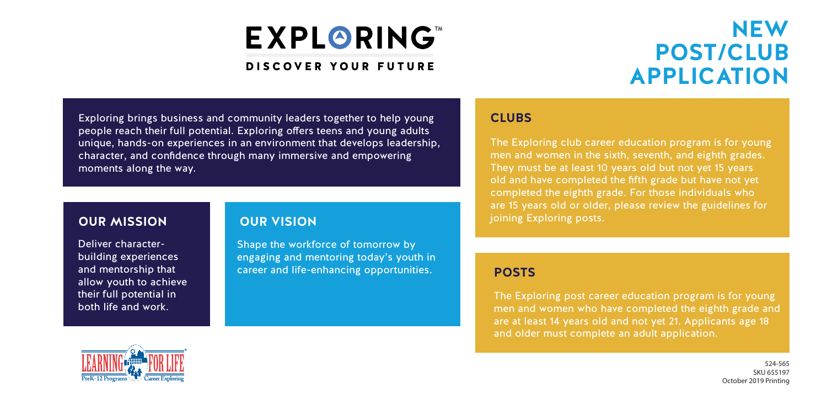## **EXPLORING**

#### **DISCOVER YOUR FUTURE**

### **NEW POST/CLUB APPLICATION**

Exploring brings business and community leaders together to help young people reach their full potential. Exploring offers teens and young adults unique, hands-on experiences in an environment that develops leadership, character, and confidence through many immersive and empowering moments along the way.

#### **OUR MISSION**

Deliver characterbuilding experiences and mentorship that allow youth to achieve their full potential in both life and work.

#### **OUR VISION**

Shape the workforce of tomorrow by engaging and mentoring today's youth in career and life-enhancing opportunities.

#### **CLUBS**

The Exploring club career education program is for young men and women in the sixth, seventh, and eighth grades. They must be at least 10 years old but not yet 15 years old and have completed the fifth grade but have not yet completed the eighth grade. For those individuals who are 15 years old or older, please review the guidelines for joining Exploring posts.

#### **POSTS**

The Exploring post career education program is for young men and women who have completed the eighth grade and are at least 14 years old and not yet 21. Applicants age 18 and older must complete an adult application.



524-565 SKU 655197 October 2019 Printing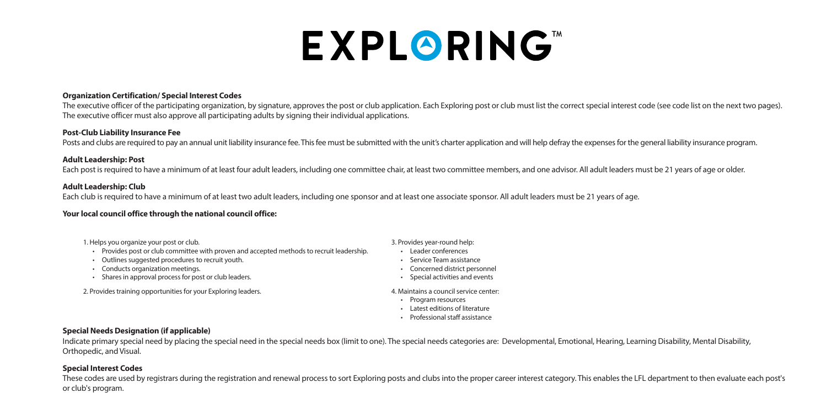# **EXPLORING**

#### **Organization Certification/ Special Interest Codes**

The executive officer of the participating organization, by signature, approves the post or club application. Each Exploring post or club must list the correct special interest code (see code list on the next two pages). The executive officer must also approve all participating adults by signing their individual applications.

#### **Post-Club Liability Insurance Fee**

Posts and clubs are required to pay an annual unit liability insurance fee. This fee must be submitted with the unit's charter application and will help defray the expenses for the general liability insurance program.

#### **Adult Leadership: Post**

Each post is required to have a minimum of at least four adult leaders, including one committee chair, at least two committee members, and one advisor. All adult leaders must be 21 years of age or older.

#### **Adult Leadership: Club**

Each club is required to have a minimum of at least two adult leaders, including one sponsor and at least one associate sponsor. All adult leaders must be 21 years of age.

#### **Your local council office through the national council office:**

1. Helps you organize your post or club.

- Provides post or club committee with proven and accepted methods to recruit leadership.
- Outlines suggested procedures to recruit youth.
- Conducts organization meetings.
- Shares in approval process for post or club leaders.

2. Provides training opportunities for your Exploring leaders. 4. Maintains a council service center:

- 3. Provides year-round help:
- Leader conferences
- Service Team assistance
- Concerned district personnel
- Special activities and events
- 
- Program resources
- Latest editions of literature
- Professional staff assistance

#### **Special Needs Designation (if applicable)**

Indicate primary special need by placing the special need in the special needs box (limit to one). The special needs categories are: Developmental, Emotional, Hearing, Learning Disability, Mental Disability, Orthopedic, and Visual.

#### **Special Interest Codes**

These codes are used by registrars during the registration and renewal process to sort Exploring posts and clubs into the proper career interest category. This enables the LFL department to then evaluate each post's or club's program.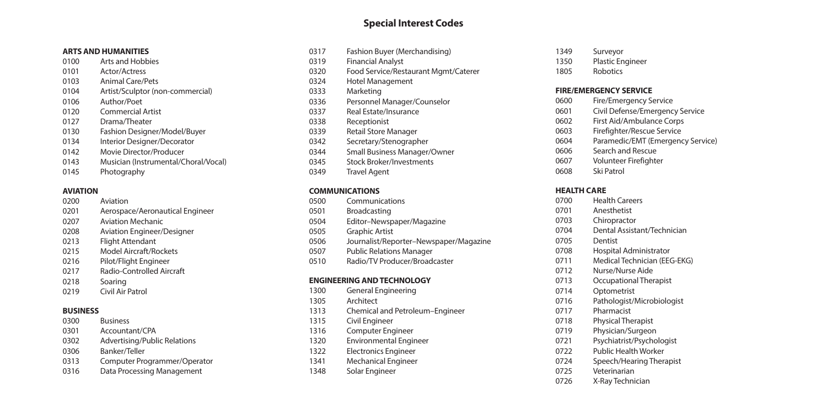#### **Special Interest Codes**

#### **ARTS AND HUMANITIES**

- Arts and Hobbies Actor/Actress Animal Care/Pets Artist/Sculptor (non-commercial) Author/Poet Commercial Artist Drama/Theater Fashion Designer/Model/Buyer Interior Designer/Decorator Movie Director/Producer
- Musician (Instrumental/Choral/Vocal)
- Photography

#### **AVIATION**

- Aviation Aerospace/Aeronautical Engineer
- Aviation Mechanic
- Aviation Engineer/Designer
- Flight Attendant
- Model Aircraft/Rockets
- Pilot/Flight Engineer
- Radio-Controlled Aircraft
- Soaring
- Civil Air Patrol

#### **BUSINESS**

- Business
- Accountant/CPA
- Advertising/Public Relations
- Banker/Teller
- Computer Programmer/Operator
- Data Processing Management

| 0317 | Fashion Buyer (Merchandising)        |
|------|--------------------------------------|
| 0319 | <b>Financial Analyst</b>             |
| 0320 | Food Service/Restaurant Mgmt/Caterer |
| 0324 | Hotel Management                     |
| 0333 | Marketing                            |
| 0336 | Personnel Manager/Counselor          |
| 0337 | Real Estate/Insurance                |
| 0338 | Receptionist                         |
| 0339 | <b>Retail Store Manager</b>          |
| 0342 | Secretary/Stenographer               |
| 0344 | Small Business Manager/Owner         |
| 0345 | <b>Stock Broker/Investments</b>      |
| 0349 | <b>Travel Agent</b>                  |

#### **COMMUNICATIONS**

| 0500 | Communications                         |
|------|----------------------------------------|
| 0501 | <b>Broadcasting</b>                    |
| 0504 | Editor-Newspaper/Magazine              |
| 0505 | <b>Graphic Artist</b>                  |
| 0506 | Journalist/Reporter-Newspaper/Magazine |
| 0507 | <b>Public Relations Manager</b>        |
| 0510 | Radio/TV Producer/Broadcaster          |

#### **ENGINEERING AND TECHNOLOGY**

- General Engineering Architect Chemical and Petroleum–Engineer
- Civil Engineer
- Computer Engineer
- Environmental Engineer
- Electronics Engineer
- Mechanical Engineer
- Solar Engineer
- Surveyor
- Plastic Engineer
- Robotics

#### **FIRE/EMERGENCY SERVICE**

- Fire/Emergency Service
- Civil Defense/Emergency Service
- First Aid/Ambulance Corps
- Firefighter/Rescue Service
- Paramedic/EMT (Emergency Service)
- Search and Rescue
- Volunteer Firefighter
- Ski Patrol

#### **HEALTH CARE**

- Health Careers Anesthetist Chiropractor Dental Assistant/Technician Dentist Hospital Administrator Medical Technician (EEG-EKG) Nurse/Nurse Aide Occupational Therapist Optometrist Pathologist/Microbiologist Pharmacist Physical Therapist Physician/Surgeon Psychiatrist/Psychologist Public Health Worker Speech/Hearing Therapist Veterinarian
- X-Ray Technician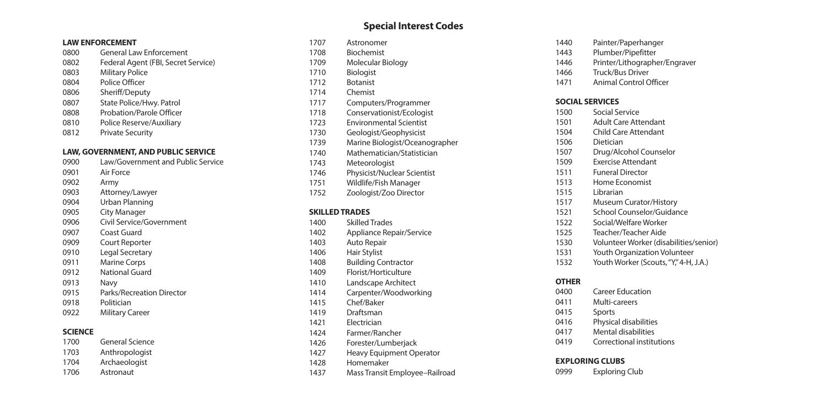#### **LAW ENFORCEMENT**

- General Law Enforcement
- Federal Agent (FBI, Secret Service)
- Military Police
- Police Officer
- Sheriff/Deputy
- State Police/Hwy. Patrol
- Probation/Parole Officer
- Police Reserve/Auxiliary
- Private Security

#### **LAW, GOVERNMENT, AND PUBLIC SERVICE**

- Law/Government and Public Service Air Force Army
- Attorney/Lawyer
- Urban Planning
- City Manager
- Civil Service/Government
- Coast Guard
- Court Reporter
- Legal Secretary
- Marine Corps
- National Guard
- Navy
- Parks/Recreation Director
- Politician
- Military Career

#### **SCIENCE**

- General Science
- Anthropologist
- Archaeologist
- Astronaut

#### **Special Interest Codes**

- Astronomer
- Biochemist
- Molecular Biology
- Biologist
- Botanist
- Chemist
- Computers/Programmer
- Conservationist/Ecologist
- Environmental Scientist
- Geologist/Geophysicist
- Marine Biologist/Oceanographer
- Mathematician/Statistician
- Meteorologist
- Physicist/Nuclear Scientist
- Wildlife/Fish Manager
- Zoologist/Zoo Director

#### **SKILLED TRADES**

- Skilled Trades
- Appliance Repair/Service
- Auto Repair
- Hair Stylist
- Building Contractor
- Florist/Horticulture
- Landscape Architect
- Carpenter/Woodworking
- Chef/Baker
- Draftsman
- Electrician
- Farmer/Rancher
- Forester/Lumberjack
- Heavy Equipment Operator
- Homemaker
- Mass Transit Employee–Railroad
- Painter/Paperhanger
- Plumber/Pipefitter
- Printer/Lithographer/Engraver
- Truck/Bus Driver
- Animal Control Officer

#### **SOCIAL SERVICES**

- Social Service Adult Care Attendant
- Child Care Attendant
- Dietician
- Drug/Alcohol Counselor
- Exercise Attendant
- Funeral Director
- Home Economist
- Librarian
- Museum Curator/History
- School Counselor/Guidance
- Social/Welfare Worker
- Teacher/Teacher Aide
- Volunteer Worker (disabilities/senior)
- Youth Organization Volunteer
- 1532 Youth Worker (Scouts, "Y," 4-H, J.A.)

#### **OTHER**

- Career Education
- Multi-careers
- Sports
- Physical disabilities
- Mental disabilities
- Correctional institutions

#### **EXPLORING CLUBS**

Exploring Club